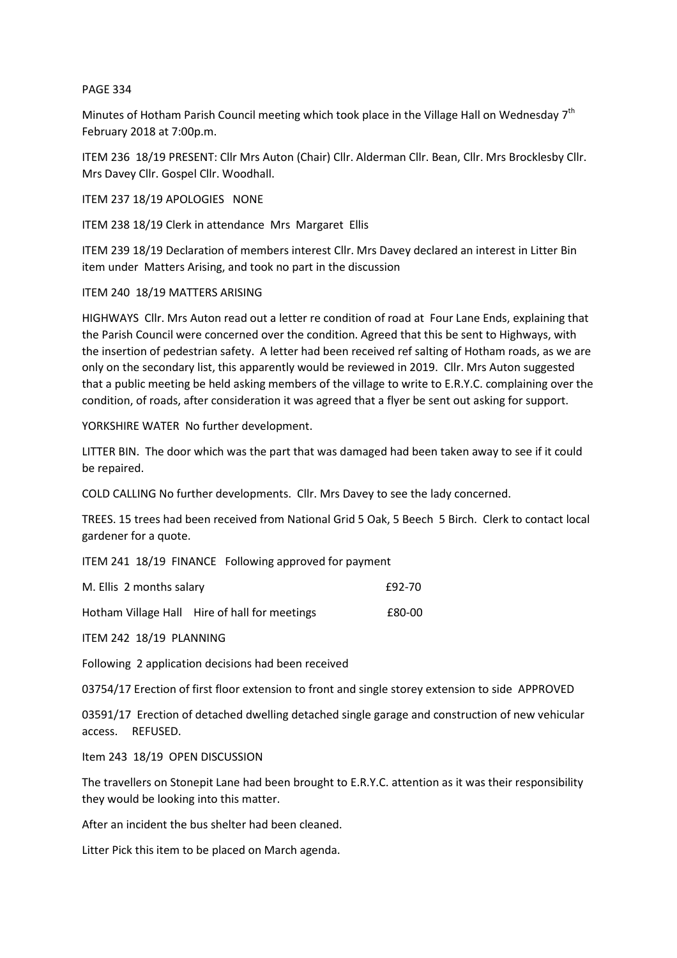## PAGE 334

Minutes of Hotham Parish Council meeting which took place in the Village Hall on Wednesday 7<sup>th</sup> February 2018 at 7:00p.m.

ITEM 236 18/19 PRESENT: Cllr Mrs Auton (Chair) Cllr. Alderman Cllr. Bean, Cllr. Mrs Brocklesby Cllr. Mrs Davey Cllr. Gospel Cllr. Woodhall.

ITEM 237 18/19 APOLOGIES NONE

ITEM 238 18/19 Clerk in attendance Mrs Margaret Ellis

ITEM 239 18/19 Declaration of members interest Cllr. Mrs Davey declared an interest in Litter Bin item under Matters Arising, and took no part in the discussion

## ITEM 240 18/19 MATTERS ARISING

HIGHWAYS Cllr. Mrs Auton read out a letter re condition of road at Four Lane Ends, explaining that the Parish Council were concerned over the condition. Agreed that this be sent to Highways, with the insertion of pedestrian safety. A letter had been received ref salting of Hotham roads, as we are only on the secondary list, this apparently would be reviewed in 2019. Cllr. Mrs Auton suggested that a public meeting be held asking members of the village to write to E.R.Y.C. complaining over the condition, of roads, after consideration it was agreed that a flyer be sent out asking for support.

YORKSHIRE WATER No further development.

LITTER BIN. The door which was the part that was damaged had been taken away to see if it could be repaired.

COLD CALLING No further developments. Cllr. Mrs Davey to see the lady concerned.

TREES. 15 trees had been received from National Grid 5 Oak, 5 Beech 5 Birch. Clerk to contact local gardener for a quote.

ITEM 241 18/19 FINANCE Following approved for payment

| M. Ellis 2 months salary |                                               | £92-70 |
|--------------------------|-----------------------------------------------|--------|
|                          | Hotham Village Hall Hire of hall for meetings | £80-00 |

ITEM 242 18/19 PLANNING

Following 2 application decisions had been received

03754/17 Erection of first floor extension to front and single storey extension to side APPROVED

03591/17 Erection of detached dwelling detached single garage and construction of new vehicular access. REFUSED.

Item 243 18/19 OPEN DISCUSSION

The travellers on Stonepit Lane had been brought to E.R.Y.C. attention as it was their responsibility they would be looking into this matter.

After an incident the bus shelter had been cleaned.

Litter Pick this item to be placed on March agenda.